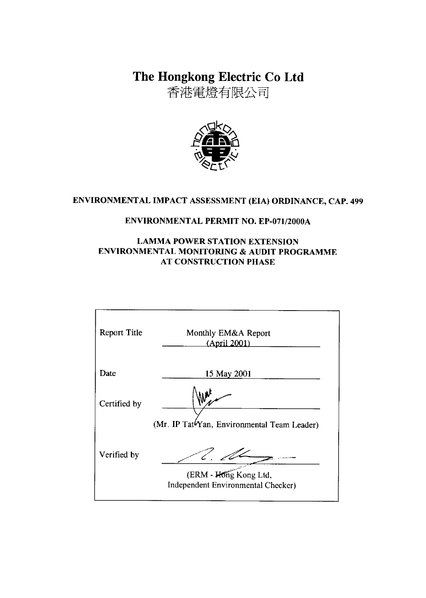The Hongkong Electric Co Ltd

香港電燈有限公司



# ENVIRONMENTAL IMPACT ASSESSMENT (EIA) ORDINANCE, CAP. 499

#### **ENVIRONMENTAL PERMIT NO. EP-071/2000A**

### **LAMMA POWER STATION EXTENSION** ENVIRONMENTAL MONITORING & AUDIT PROGRAMME **AT CONSTRUCTION PHASE**

| <b>Report Title</b> | Monthly EM&A Report<br>(April 2001)                         |
|---------------------|-------------------------------------------------------------|
| Date                | 15 May 2001                                                 |
| Certified by        |                                                             |
|                     | (Mr. IP Tat <sup>t</sup> Yan, Environmental Team Leader)    |
| Verified by         |                                                             |
|                     | (ERM - Hong Kong Ltd,<br>Independent Environmental Checker) |
|                     |                                                             |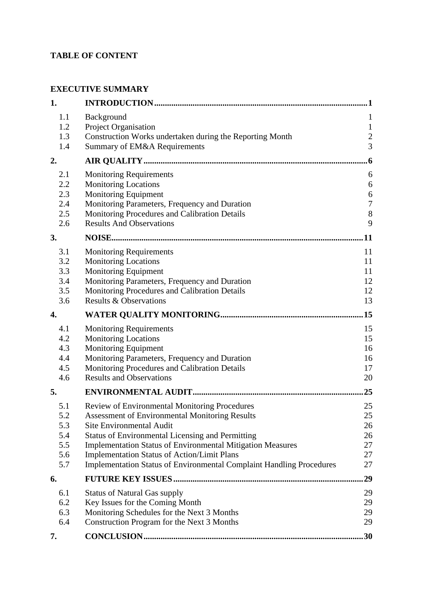## **TABLE OF CONTENT**

### **EXECUTIVE SUMMARY**

| 1.                                            |                                                                                                                                                                                                                                                                                                                                                                                                                       |                                                |
|-----------------------------------------------|-----------------------------------------------------------------------------------------------------------------------------------------------------------------------------------------------------------------------------------------------------------------------------------------------------------------------------------------------------------------------------------------------------------------------|------------------------------------------------|
| 1.1<br>1.2<br>1.3                             | Background<br>Project Organisation<br>Construction Works undertaken during the Reporting Month                                                                                                                                                                                                                                                                                                                        | $\mathbf{1}$<br>$\mathbf{1}$<br>$\overline{c}$ |
| 1.4                                           | Summary of EM&A Requirements                                                                                                                                                                                                                                                                                                                                                                                          | $\overline{3}$                                 |
| 2.                                            |                                                                                                                                                                                                                                                                                                                                                                                                                       | $6\phantom{.}6$                                |
| 2.1<br>2.2<br>2.3<br>2.4<br>2.5<br>2.6        | <b>Monitoring Requirements</b><br><b>Monitoring Locations</b><br><b>Monitoring Equipment</b><br>Monitoring Parameters, Frequency and Duration<br>Monitoring Procedures and Calibration Details<br><b>Results And Observations</b>                                                                                                                                                                                     | 6<br>6<br>6<br>$\boldsymbol{7}$<br>8<br>9      |
| 3.                                            |                                                                                                                                                                                                                                                                                                                                                                                                                       | .11                                            |
| 3.1<br>3.2<br>3.3<br>3.4<br>3.5<br>3.6        | <b>Monitoring Requirements</b><br><b>Monitoring Locations</b><br><b>Monitoring Equipment</b><br>Monitoring Parameters, Frequency and Duration<br>Monitoring Procedures and Calibration Details<br><b>Results &amp; Observations</b>                                                                                                                                                                                   | 11<br>11<br>11<br>12<br>12<br>13               |
| 4.                                            |                                                                                                                                                                                                                                                                                                                                                                                                                       | .15                                            |
| 4.1<br>4.2<br>4.3<br>4.4<br>4.5<br>4.6        | <b>Monitoring Requirements</b><br><b>Monitoring Locations</b><br><b>Monitoring Equipment</b><br>Monitoring Parameters, Frequency and Duration<br>Monitoring Procedures and Calibration Details<br><b>Results and Observations</b>                                                                                                                                                                                     | 15<br>15<br>16<br>16<br>17<br>20               |
| 5.                                            |                                                                                                                                                                                                                                                                                                                                                                                                                       | 25                                             |
| 5.1<br>5.2<br>5.3<br>5.4<br>5.5<br>5.6<br>5.7 | <b>Review of Environmental Monitoring Procedures</b><br><b>Assessment of Environmental Monitoring Results</b><br><b>Site Environmental Audit</b><br><b>Status of Environmental Licensing and Permitting</b><br><b>Implementation Status of Environmental Mitigation Measures</b><br><b>Implementation Status of Action/Limit Plans</b><br><b>Implementation Status of Environmental Complaint Handling Procedures</b> | 25<br>25<br>26<br>26<br>27<br>27<br>27         |
| 6.                                            |                                                                                                                                                                                                                                                                                                                                                                                                                       | 29                                             |
| 6.1<br>6.2<br>6.3<br>6.4                      | <b>Status of Natural Gas supply</b><br>Key Issues for the Coming Month<br>Monitoring Schedules for the Next 3 Months<br>Construction Program for the Next 3 Months                                                                                                                                                                                                                                                    | 29<br>29<br>29<br>29                           |
| 7.                                            |                                                                                                                                                                                                                                                                                                                                                                                                                       | 30                                             |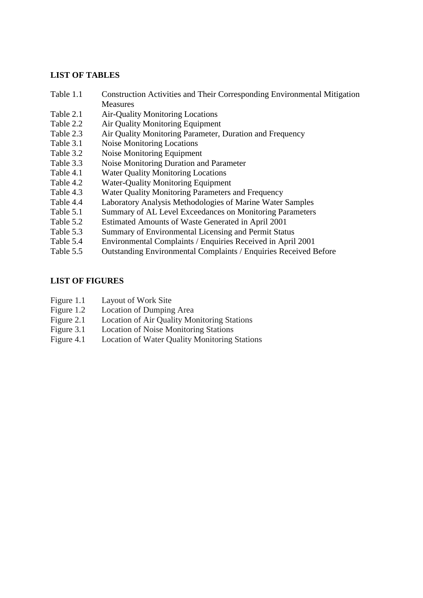#### **LIST OF TABLES**

- Table 1.1 Construction Activities and Their Corresponding Environmental Mitigation Measures
- Table 2.1 Air-Quality Monitoring Locations
- Table 2.2 Air Quality Monitoring Equipment
- Table 2.3 Air Quality Monitoring Parameter, Duration and Frequency
- Table 3.1 Noise Monitoring Locations
- Table 3.2 Noise Monitoring Equipment
- Table 3.3 Noise Monitoring Duration and Parameter
- Table 4.1 Water Quality Monitoring Locations
- Table 4.2 Water-Quality Monitoring Equipment
- Table 4.3 Water Quality Monitoring Parameters and Frequency
- Table 4.4 Laboratory Analysis Methodologies of Marine Water Samples
- Table 5.1 Summary of AL Level Exceedances on Monitoring Parameters
- Table 5.2 Estimated Amounts of Waste Generated in April 2001
- Table 5.3 Summary of Environmental Licensing and Permit Status
- Table 5.4 Environmental Complaints / Enquiries Received in April 2001
- Table 5.5 Outstanding Environmental Complaints / Enquiries Received Before

#### **LIST OF FIGURES**

- Figure 1.1 Layout of Work Site
- Figure 1.2 Location of Dumping Area
- Figure 2.1 Location of Air Quality Monitoring Stations
- Figure 3.1 Location of Noise Monitoring Stations
- Figure 4.1 Location of Water Quality Monitoring Stations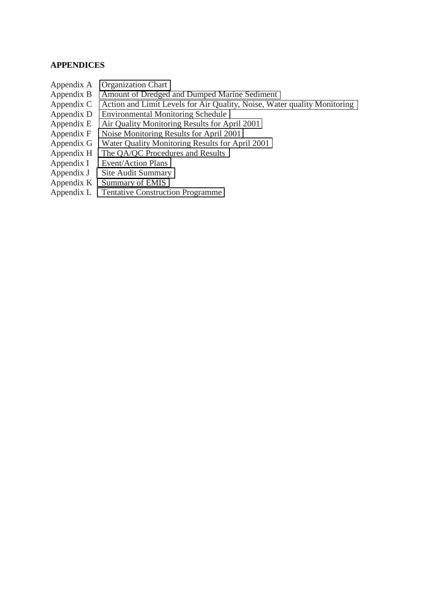#### **APPENDICES**

- Appendix A Organization Chart
- Appendix B Amount of Dredged and Dumped Marine Sediment
- Appendix C Action and Limit Levels for Air Quality, Noise, Water quality Monitoring
- Appendix D Environmental Monitoring Schedule
- Appendix E Air Quality Monitoring Results for April 2001
- Appendix F Noise Monitoring Results for April 2001
- Appendix G Water Quality Monitoring Results for April 2001
- Appendix H The QA/QC Procedures and Results
- Appendix I Event/Action Plans
- Appendix J Site Audit Summary
- Appendix K Summary of EMIS
- Appendix L Tentative Construction Programme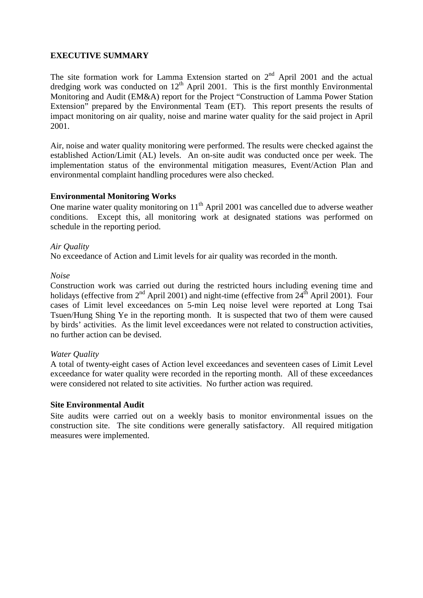#### **EXECUTIVE SUMMARY**

The site formation work for Lamma Extension started on  $2<sup>nd</sup>$  April 2001 and the actual dredging work was conducted on 12<sup>th</sup> April 2001. This is the first monthly Environmental Monitoring and Audit (EM&A) report for the Project "Construction of Lamma Power Station Extension" prepared by the Environmental Team (ET). This report presents the results of impact monitoring on air quality, noise and marine water quality for the said project in April 2001.

Air, noise and water quality monitoring were performed. The results were checked against the established Action/Limit (AL) levels. An on-site audit was conducted once per week. The implementation status of the environmental mitigation measures, Event/Action Plan and environmental complaint handling procedures were also checked.

#### **Environmental Monitoring Works**

One marine water quality monitoring on  $11<sup>th</sup>$  April 2001 was cancelled due to adverse weather conditions. Except this, all monitoring work at designated stations was performed on schedule in the reporting period.

#### *Air Quality*

No exceedance of Action and Limit levels for air quality was recorded in the month.

#### *Noise*

Construction work was carried out during the restricted hours including evening time and holidays (effective from  $2<sup>nd</sup>$  April 2001) and night-time (effective from  $24<sup>th</sup>$  April 2001). Four cases of Limit level exceedances on 5-min Leq noise level were reported at Long Tsai Tsuen/Hung Shing Ye in the reporting month. It is suspected that two of them were caused by birds' activities. As the limit level exceedances were not related to construction activities, no further action can be devised.

#### *Water Quality*

A total of twenty-eight cases of Action level exceedances and seventeen cases of Limit Level exceedance for water quality were recorded in the reporting month. All of these exceedances were considered not related to site activities. No further action was required.

#### **Site Environmental Audit**

Site audits were carried out on a weekly basis to monitor environmental issues on the construction site. The site conditions were generally satisfactory. All required mitigation measures were implemented.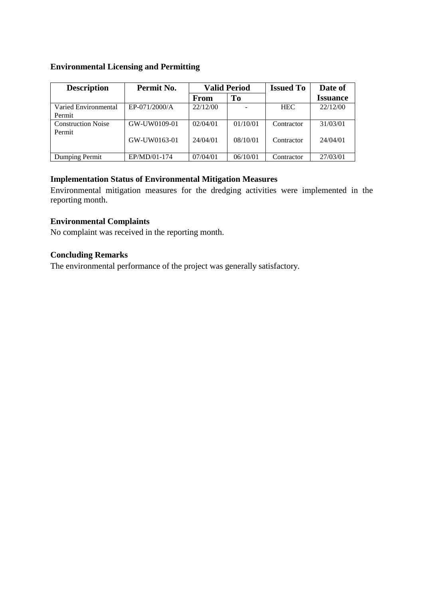#### **Environmental Licensing and Permitting**

| <b>Description</b>                  | Permit No.    | <b>Valid Period</b> |          | <b>Issued To</b> | Date of         |
|-------------------------------------|---------------|---------------------|----------|------------------|-----------------|
|                                     |               | From                | To       |                  | <b>Issuance</b> |
| Varied Environmental<br>Permit      | EP-071/2000/A | 22/12/00            |          | <b>HEC</b>       | 22/12/00        |
| <b>Construction Noise</b><br>Permit | GW-UW0109-01  | 02/04/01            | 01/10/01 | Contractor       | 31/03/01        |
|                                     | GW-UW0163-01  | 24/04/01            | 08/10/01 | Contractor       | 24/04/01        |
| Dumping Permit                      | EP/MD/01-174  | 07/04/01            | 06/10/01 | Contractor       | 27/03/01        |

#### **Implementation Status of Environmental Mitigation Measures**

Environmental mitigation measures for the dredging activities were implemented in the reporting month.

#### **Environmental Complaints**

No complaint was received in the reporting month.

## **Concluding Remarks**

The environmental performance of the project was generally satisfactory.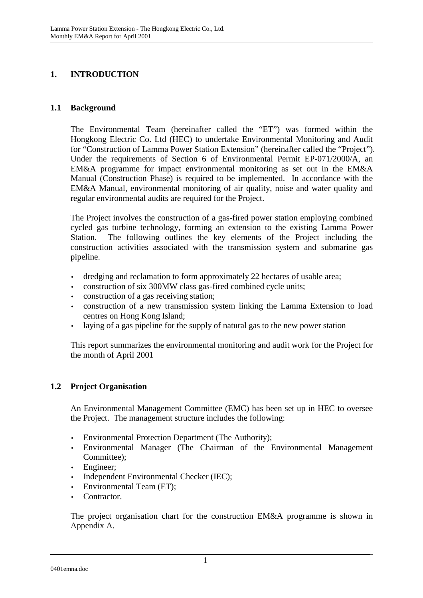## **1. INTRODUCTION**

#### **1.1 Background**

The Environmental Team (hereinafter called the "ET") was formed within the Hongkong Electric Co. Ltd (HEC) to undertake Environmental Monitoring and Audit for "Construction of Lamma Power Station Extension" (hereinafter called the "Project"). Under the requirements of Section 6 of Environmental Permit EP-071/2000/A, an EM&A programme for impact environmental monitoring as set out in the EM&A Manual (Construction Phase) is required to be implemented. In accordance with the EM&A Manual, environmental monitoring of air quality, noise and water quality and regular environmental audits are required for the Project.

The Project involves the construction of a gas-fired power station employing combined cycled gas turbine technology, forming an extension to the existing Lamma Power Station. The following outlines the key elements of the Project including the construction activities associated with the transmission system and submarine gas pipeline.

- dredging and reclamation to form approximately 22 hectares of usable area;
- construction of six 300MW class gas-fired combined cycle units;
- construction of a gas receiving station;
- construction of a new transmission system linking the Lamma Extension to load centres on Hong Kong Island;
- laying of a gas pipeline for the supply of natural gas to the new power station

This report summarizes the environmental monitoring and audit work for the Project for the month of April 2001

#### **1.2 Project Organisation**

An Environmental Management Committee (EMC) has been set up in HEC to oversee the Project. The management structure includes the following:

- Environmental Protection Department (The Authority);
- Environmental Manager (The Chairman of the Environmental Management Committee);
- Engineer;
- Independent Environmental Checker (IEC);
- Environmental Team (ET);
- Contractor.

The project organisation chart for the construction EM&A programme is shown in Appendix A.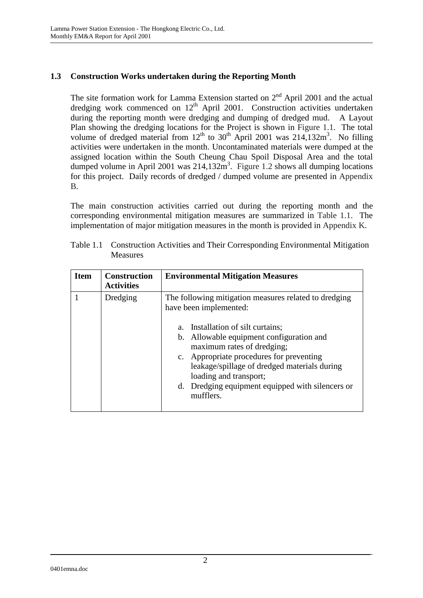### **1.3 Construction Works undertaken during the Reporting Month**

The site formation work for Lamma Extension started on  $2<sup>nd</sup>$  April 2001 and the actual dredging work commenced on  $12<sup>th</sup>$  April 2001. Construction activities undertaken during the reporting month were dredging and dumping of dredged mud. A Layout Plan showing the dredging locations for the Project is shown in Figure 1.1. The total volume of dredged material from  $12<sup>th</sup>$  to  $30<sup>th</sup>$  April 2001 was  $214,132m<sup>3</sup>$ . No filling activities were undertaken in the month. Uncontaminated materials were dumped at the assigned location within the South Cheung Chau Spoil Disposal Area and the total dumped volume in April 2001 was  $214,132m^3$ . Figure 1.2 shows all dumping locations for this project. Daily records of dredged / dumped volume are presented in Appendix B.

The main construction activities carried out during the reporting month and the corresponding environmental mitigation measures are summarized in Table 1.1. The implementation of major mitigation measures in the month is provided in Appendix K.

| <b>Item</b> | <b>Construction</b><br><b>Activities</b> | <b>Environmental Mitigation Measures</b>                                                                                                                                                                                                                                                                                                                                              |
|-------------|------------------------------------------|---------------------------------------------------------------------------------------------------------------------------------------------------------------------------------------------------------------------------------------------------------------------------------------------------------------------------------------------------------------------------------------|
|             | Dredging                                 | The following mitigation measures related to dredging<br>have been implemented:<br>Installation of silt curtains;<br>Allowable equipment configuration and<br>b.<br>maximum rates of dredging;<br>c. Appropriate procedures for preventing<br>leakage/spillage of dredged materials during<br>loading and transport;<br>d. Dredging equipment equipped with silencers or<br>mufflers. |

Table 1.1 Construction Activities and Their Corresponding Environmental Mitigation Measures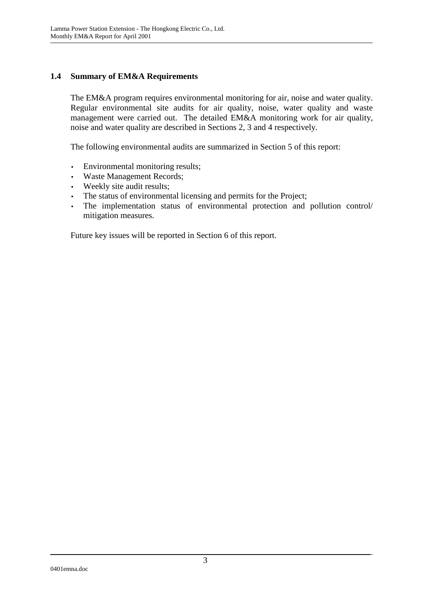### **1.4 Summary of EM&A Requirements**

The EM&A program requires environmental monitoring for air, noise and water quality. Regular environmental site audits for air quality, noise, water quality and waste management were carried out. The detailed EM&A monitoring work for air quality, noise and water quality are described in Sections 2, 3 and 4 respectively.

The following environmental audits are summarized in Section 5 of this report:

- Environmental monitoring results;
- Waste Management Records;
- Weekly site audit results;
- The status of environmental licensing and permits for the Project;
- The implementation status of environmental protection and pollution control/ mitigation measures.

Future key issues will be reported in Section 6 of this report.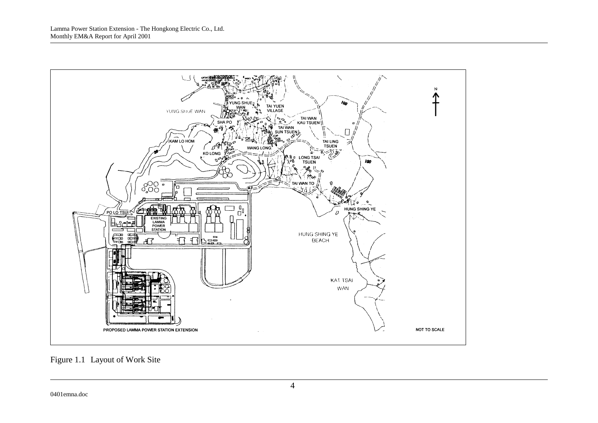

Figure 1.1 Layout of Work Site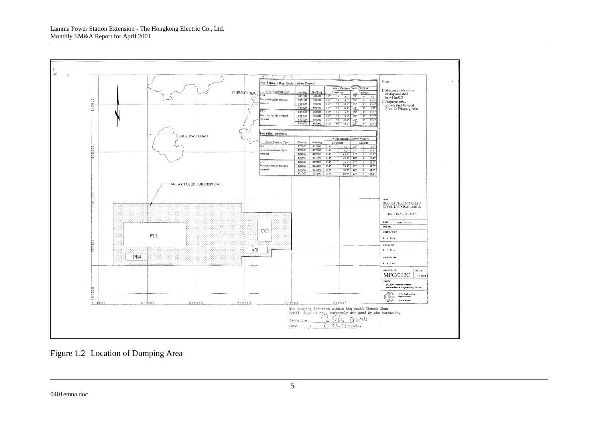

Figure 1.2 Location of Dumping Area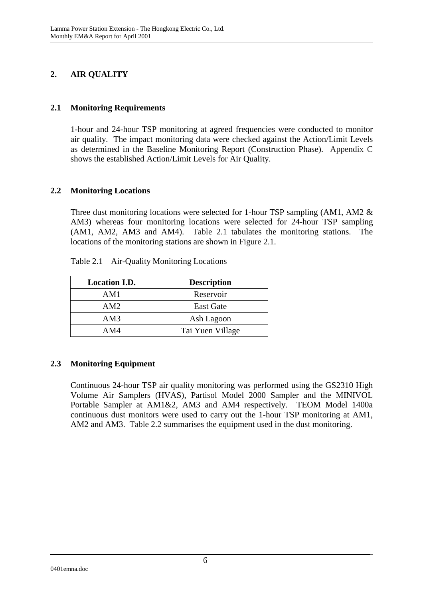## **2. AIR QUALITY**

#### **2.1 Monitoring Requirements**

1-hour and 24-hour TSP monitoring at agreed frequencies were conducted to monitor air quality. The impact monitoring data were checked against the Action/Limit Levels as determined in the Baseline Monitoring Report (Construction Phase). Appendix C shows the established Action/Limit Levels for Air Quality.

#### **2.2 Monitoring Locations**

Three dust monitoring locations were selected for 1-hour TSP sampling (AM1, AM2 & AM3) whereas four monitoring locations were selected for 24-hour TSP sampling (AM1, AM2, AM3 and AM4). Table 2.1 tabulates the monitoring stations. The locations of the monitoring stations are shown in Figure 2.1.

| <b>Location I.D.</b> | <b>Description</b> |
|----------------------|--------------------|
| AM1                  | Reservoir          |
| AM2                  | <b>East Gate</b>   |
| AM3                  | Ash Lagoon         |
| AM4                  | Tai Yuen Village   |

Table 2.1 Air-Quality Monitoring Locations

#### **2.3 Monitoring Equipment**

Continuous 24-hour TSP air quality monitoring was performed using the GS2310 High Volume Air Samplers (HVAS), Partisol Model 2000 Sampler and the MINIVOL Portable Sampler at AM1&2, AM3 and AM4 respectively. TEOM Model 1400a continuous dust monitors were used to carry out the 1-hour TSP monitoring at AM1, AM2 and AM3. Table 2.2 summarises the equipment used in the dust monitoring.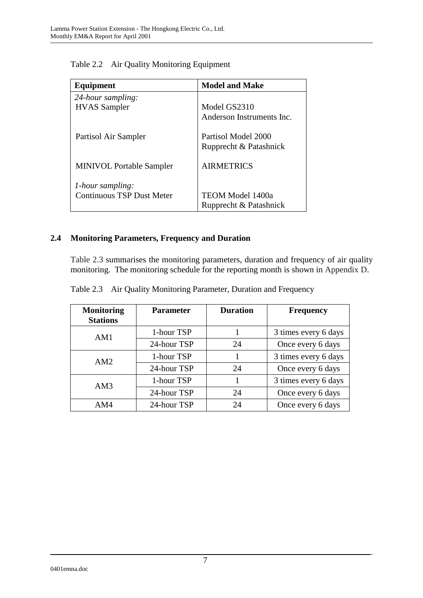| Equipment                        | <b>Model and Make</b>                         |
|----------------------------------|-----------------------------------------------|
| 24-hour sampling:                |                                               |
| <b>HVAS</b> Sampler              | Model GS2310                                  |
|                                  | Anderson Instruments Inc.                     |
| Partisol Air Sampler             | Partisol Model 2000<br>Rupprecht & Patashnick |
| <b>MINIVOL Portable Sampler</b>  | <b>AIRMETRICS</b>                             |
| 1-hour sampling:                 |                                               |
| <b>Continuous TSP Dust Meter</b> | TEOM Model 1400a                              |
|                                  | Rupprecht & Patashnick                        |

Table 2.2 Air Quality Monitoring Equipment

## **2.4 Monitoring Parameters, Frequency and Duration**

Table 2.3 summarises the monitoring parameters, duration and frequency of air quality monitoring. The monitoring schedule for the reporting month is shown in Appendix D.

|  | Table 2.3 Air Quality Monitoring Parameter, Duration and Frequency |  |
|--|--------------------------------------------------------------------|--|
|  |                                                                    |  |

| <b>Monitoring</b><br><b>Stations</b> | <b>Parameter</b> | <b>Duration</b> | Frequency            |
|--------------------------------------|------------------|-----------------|----------------------|
| AM1                                  | 1-hour TSP       |                 | 3 times every 6 days |
|                                      | 24-hour TSP      | 24              | Once every 6 days    |
| AM2                                  | 1-hour TSP       |                 | 3 times every 6 days |
|                                      | 24-hour TSP      | 24              | Once every 6 days    |
| AM3                                  | 1-hour TSP       |                 | 3 times every 6 days |
|                                      | 24-hour TSP      | 24              | Once every 6 days    |
| AM4                                  | 24-hour TSP      | 24              | Once every 6 days    |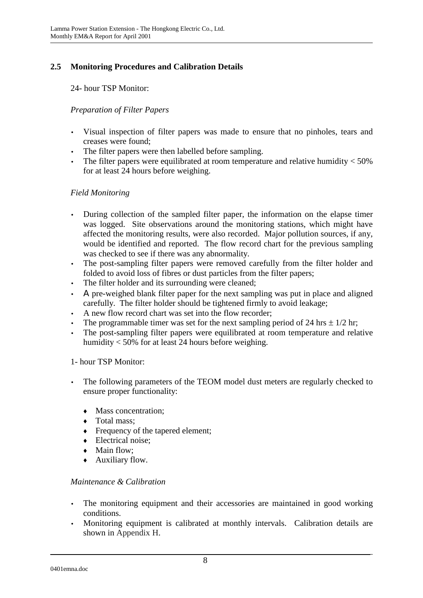## **2.5 Monitoring Procedures and Calibration Details**

24- hour TSP Monitor:

### *Preparation of Filter Papers*

- Visual inspection of filter papers was made to ensure that no pinholes, tears and creases were found;
- The filter papers were then labelled before sampling.
- The filter papers were equilibrated at room temperature and relative humidity  $<$  50% for at least 24 hours before weighing.

### *Field Monitoring*

- During collection of the sampled filter paper, the information on the elapse timer was logged. Site observations around the monitoring stations, which might have affected the monitoring results, were also recorded. Major pollution sources, if any, would be identified and reported. The flow record chart for the previous sampling was checked to see if there was any abnormality.
- The post-sampling filter papers were removed carefully from the filter holder and folded to avoid loss of fibres or dust particles from the filter papers;
- The filter holder and its surrounding were cleaned;
- Α pre-weighed blank filter paper for the next sampling was put in place and aligned carefully. The filter holder should be tightened firmly to avoid leakage;
- A new flow record chart was set into the flow recorder;
- The programmable timer was set for the next sampling period of 24 hrs  $\pm$  1/2 hr;
- The post-sampling filter papers were equilibrated at room temperature and relative humidity < 50% for at least 24 hours before weighing.

#### 1- hour TSP Monitor:

- The following parameters of the TEOM model dust meters are regularly checked to ensure proper functionality:
	- Mass concentration:
	- Total mass:
	- Frequency of the tapered element;
	- Electrical noise:
	- Main flow;
	- Auxiliary flow.

#### *Maintenance & Calibration*

- The monitoring equipment and their accessories are maintained in good working conditions.
- Monitoring equipment is calibrated at monthly intervals. Calibration details are shown in Appendix H.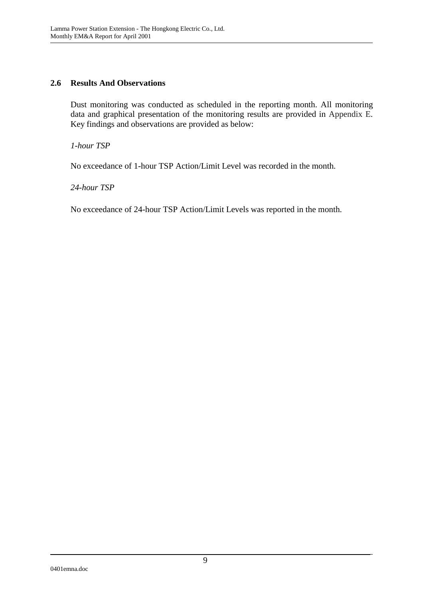#### **2.6 Results And Observations**

Dust monitoring was conducted as scheduled in the reporting month. All monitoring data and graphical presentation of the monitoring results are provided in Appendix E. Key findings and observations are provided as below:

*1-hour TSP* 

No exceedance of 1-hour TSP Action/Limit Level was recorded in the month.

*24-hour TSP* 

No exceedance of 24-hour TSP Action/Limit Levels was reported in the month.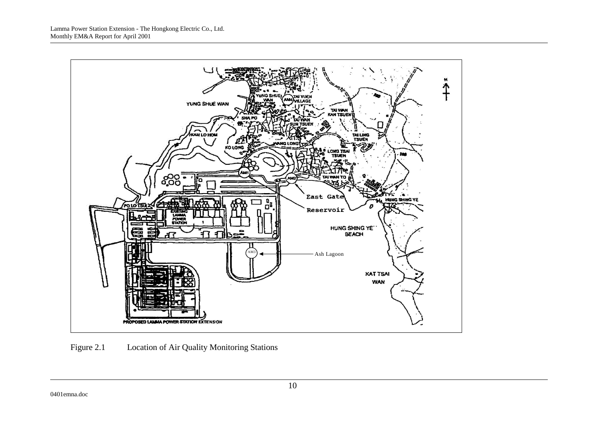

Figure 2.1 Location of Air Quality Monitoring Stations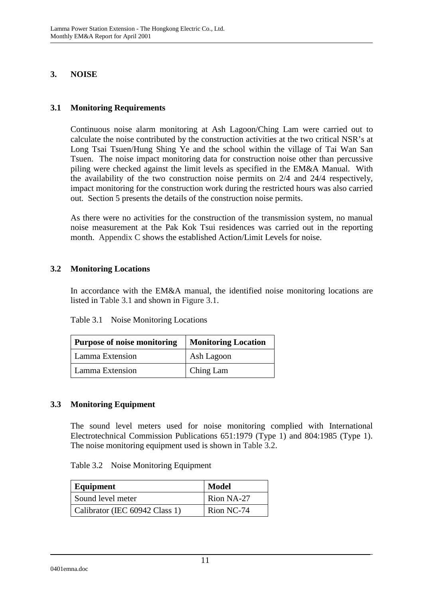### **3. NOISE**

### **3.1 Monitoring Requirements**

Continuous noise alarm monitoring at Ash Lagoon/Ching Lam were carried out to calculate the noise contributed by the construction activities at the two critical NSR's at Long Tsai Tsuen/Hung Shing Ye and the school within the village of Tai Wan San Tsuen. The noise impact monitoring data for construction noise other than percussive piling were checked against the limit levels as specified in the EM&A Manual. With the availability of the two construction noise permits on 2/4 and 24/4 respectively, impact monitoring for the construction work during the restricted hours was also carried out. Section 5 presents the details of the construction noise permits.

As there were no activities for the construction of the transmission system, no manual noise measurement at the Pak Kok Tsui residences was carried out in the reporting month. Appendix C shows the established Action/Limit Levels for noise.

#### **3.2 Monitoring Locations**

In accordance with the EM&A manual, the identified noise monitoring locations are listed in Table 3.1 and shown in Figure 3.1.

| Purpose of noise monitoring | <b>Monitoring Location</b> |  |
|-----------------------------|----------------------------|--|
| Lamma Extension             | Ash Lagoon                 |  |
| Lamma Extension             | Ching Lam                  |  |

#### **3.3 Monitoring Equipment**

The sound level meters used for noise monitoring complied with International Electrotechnical Commission Publications 651:1979 (Type 1) and 804:1985 (Type 1). The noise monitoring equipment used is shown in Table 3.2.

| Equipment                      | <b>Model</b> |
|--------------------------------|--------------|
| Sound level meter              | Rion NA-27   |
| Calibrator (IEC 60942 Class 1) | Rion NC-74   |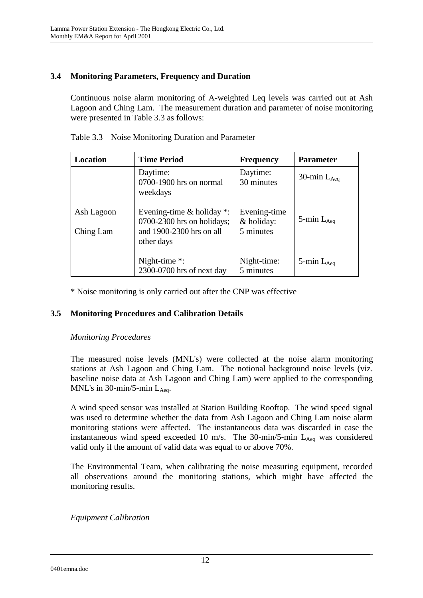## **3.4 Monitoring Parameters, Frequency and Duration**

Continuous noise alarm monitoring of A-weighted Leq levels was carried out at Ash Lagoon and Ching Lam. The measurement duration and parameter of noise monitoring were presented in Table 3.3 as follows:

| Location                | <b>Time Period</b>                                                                                       | <b>Frequency</b>                        | <b>Parameter</b>   |
|-------------------------|----------------------------------------------------------------------------------------------------------|-----------------------------------------|--------------------|
|                         | Daytime:<br>0700-1900 hrs on normal<br>weekdays                                                          | Daytime:<br>30 minutes                  | 30-min $L_{Aeq}$   |
| Ash Lagoon<br>Ching Lam | Evening-time $&$ holiday $*$ :<br>$0700-2300$ hrs on holidays;<br>and 1900-2300 hrs on all<br>other days | Evening-time<br>& holiday:<br>5 minutes | 5-min $L_{Aeq}$    |
|                         | Night-time $*$ :<br>2300-0700 hrs of next day                                                            | Night-time:<br>5 minutes                | $5$ -min $L_{Aeq}$ |

Table 3.3 Noise Monitoring Duration and Parameter

\* Noise monitoring is only carried out after the CNP was effective

## **3.5 Monitoring Procedures and Calibration Details**

#### *Monitoring Procedures*

The measured noise levels (MNL's) were collected at the noise alarm monitoring stations at Ash Lagoon and Ching Lam. The notional background noise levels (viz. baseline noise data at Ash Lagoon and Ching Lam) were applied to the corresponding MNL's in 30-min/5-min  $L_{\text{Aeg}}$ .

A wind speed sensor was installed at Station Building Rooftop. The wind speed signal was used to determine whether the data from Ash Lagoon and Ching Lam noise alarm monitoring stations were affected. The instantaneous data was discarded in case the instantaneous wind speed exceeded 10 m/s. The 30-min/5-min  $L_{Aeq}$  was considered valid only if the amount of valid data was equal to or above 70%.

The Environmental Team, when calibrating the noise measuring equipment, recorded all observations around the monitoring stations, which might have affected the monitoring results.

*Equipment Calibration* 

0401emna.doc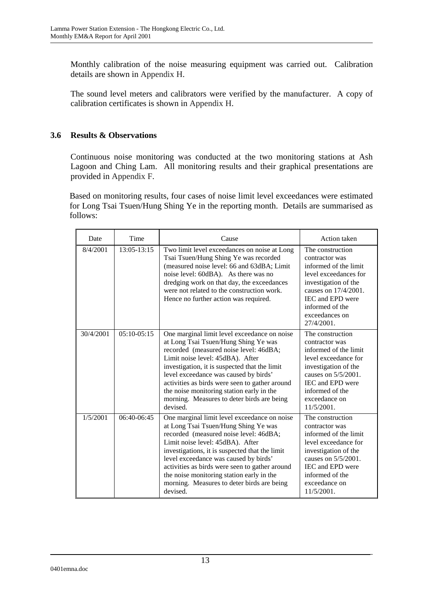Monthly calibration of the noise measuring equipment was carried out. Calibration details are shown in Appendix H.

The sound level meters and calibrators were verified by the manufacturer. A copy of calibration certificates is shown in Appendix H.

### **3.6 Results & Observations**

Continuous noise monitoring was conducted at the two monitoring stations at Ash Lagoon and Ching Lam. All monitoring results and their graphical presentations are provided in Appendix F.

Based on monitoring results, four cases of noise limit level exceedances were estimated for Long Tsai Tsuen/Hung Shing Ye in the reporting month. Details are summarised as follows:

| Date      | Time            | Cause                                                                                                                                                                                                                                                                                                                                                                                                                  | Action taken                                                                                                                                                                                                |
|-----------|-----------------|------------------------------------------------------------------------------------------------------------------------------------------------------------------------------------------------------------------------------------------------------------------------------------------------------------------------------------------------------------------------------------------------------------------------|-------------------------------------------------------------------------------------------------------------------------------------------------------------------------------------------------------------|
| 8/4/2001  | $13:05 - 13:15$ | Two limit level exceedances on noise at Long<br>Tsai Tsuen/Hung Shing Ye was recorded<br>(measured noise level: 66 and 63dBA; Limit<br>noise level: 60dBA). As there was no<br>dredging work on that day, the exceedances<br>were not related to the construction work.<br>Hence no further action was required.                                                                                                       | The construction<br>contractor was<br>informed of the limit<br>level exceedances for<br>investigation of the<br>causes on 17/4/2001.<br>IEC and EPD were<br>informed of the<br>exceedances on<br>27/4/2001. |
| 30/4/2001 | $05:10-05:15$   | One marginal limit level exceedance on noise<br>at Long Tsai Tsuen/Hung Shing Ye was<br>recorded (measured noise level: 46dBA;<br>Limit noise level: 45dBA). After<br>investigation, it is suspected that the limit<br>level exceedance was caused by birds'<br>activities as birds were seen to gather around<br>the noise monitoring station early in the<br>morning. Measures to deter birds are being<br>devised.  | The construction<br>contractor was<br>informed of the limit<br>level exceedance for<br>investigation of the<br>causes on 5/5/2001.<br>IEC and EPD were<br>informed of the<br>exceedance on<br>11/5/2001.    |
| 1/5/2001  | $06:40-06:45$   | One marginal limit level exceedance on noise<br>at Long Tsai Tsuen/Hung Shing Ye was<br>recorded (measured noise level: 46dBA;<br>Limit noise level: 45dBA). After<br>investigations, it is suspected that the limit<br>level exceedance was caused by birds'<br>activities as birds were seen to gather around<br>the noise monitoring station early in the<br>morning. Measures to deter birds are being<br>devised. | The construction<br>contractor was<br>informed of the limit<br>level exceedance for<br>investigation of the<br>causes on 5/5/2001.<br>IEC and EPD were<br>informed of the<br>exceedance on<br>11/5/2001.    |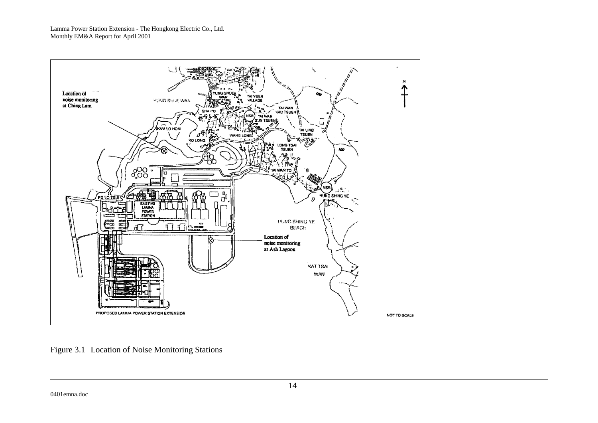

Figure 3.1 Location of Noise Monitoring Stations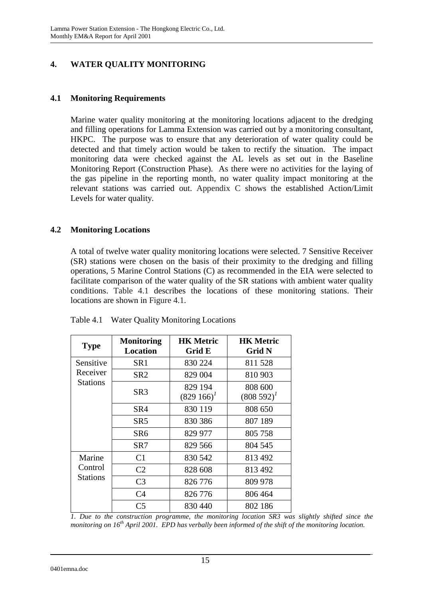## **4. WATER QUALITY MONITORING**

### **4.1 Monitoring Requirements**

Marine water quality monitoring at the monitoring locations adjacent to the dredging and filling operations for Lamma Extension was carried out by a monitoring consultant, HKPC. The purpose was to ensure that any deterioration of water quality could be detected and that timely action would be taken to rectify the situation. The impact monitoring data were checked against the AL levels as set out in the Baseline Monitoring Report (Construction Phase). As there were no activities for the laying of the gas pipeline in the reporting month, no water quality impact monitoring at the relevant stations was carried out. Appendix C shows the established Action/Limit Levels for water quality.

### **4.2 Monitoring Locations**

A total of twelve water quality monitoring locations were selected. 7 Sensitive Receiver (SR) stations were chosen on the basis of their proximity to the dredging and filling operations, 5 Marine Control Stations (C) as recommended in the EIA were selected to facilitate comparison of the water quality of the SR stations with ambient water quality conditions. Table 4.1 describes the locations of these monitoring stations. Their locations are shown in Figure 4.1.

| <b>Type</b>         | <b>Monitoring</b><br><b>Location</b> | <b>HK Metric</b><br>Grid E | <b>HK Metric</b><br><b>Grid N</b> |
|---------------------|--------------------------------------|----------------------------|-----------------------------------|
| Sensitive           | SR1                                  | 830 224                    | 811 528                           |
| Receiver            | SR <sub>2</sub>                      | 829 004                    | 810 903                           |
| <b>Stations</b>     | SR <sub>3</sub>                      | 829 194<br>$(829166)^{1}$  | 808 600<br>$(808592)^{1}$         |
|                     | SR4                                  | 830 119                    | 808 650                           |
|                     | SR <sub>5</sub>                      | 830 386                    | 807 189                           |
|                     | SR6                                  | 829 977                    | 805 758                           |
|                     | SR7                                  | 829 566                    | 804 545                           |
| Marine              | C <sub>1</sub>                       | 830 542                    | 813 492                           |
| Control<br>Stations | C <sub>2</sub>                       | 828 608                    | 813 492                           |
|                     | C <sub>3</sub>                       | 826 776                    | 809 978                           |
|                     | C <sub>4</sub>                       | 826 776                    | 806 464                           |
|                     | C5                                   | 830 440                    | 802 186                           |

Table 4.1 Water Quality Monitoring Locations

*1. Due to the construction programme, the monitoring location SR3 was slightly shifted since the monitoring on 16th April 2001. EPD has verbally been informed of the shift of the monitoring location.*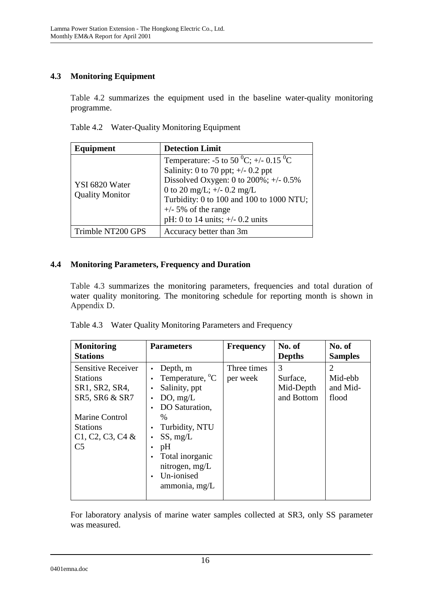## **4.3 Monitoring Equipment**

Table 4.2 summarizes the equipment used in the baseline water-quality monitoring programme.

Table 4.2 Water-Quality Monitoring Equipment

| Equipment                                | <b>Detection Limit</b>                                                                                                                                                                                                                                                                           |  |
|------------------------------------------|--------------------------------------------------------------------------------------------------------------------------------------------------------------------------------------------------------------------------------------------------------------------------------------------------|--|
| YSI 6820 Water<br><b>Quality Monitor</b> | Temperature: -5 to 50 <sup>0</sup> C; +/- 0.15 <sup>0</sup> C<br>Salinity: 0 to 70 ppt; $\pm$ /- 0.2 ppt<br>Dissolved Oxygen: 0 to $200\%$ ; +/- 0.5%<br>0 to 20 mg/L; $+/- 0.2$ mg/L<br>Turbidity: 0 to 100 and 100 to 1000 NTU;<br>$+/-$ 5% of the range<br>pH: 0 to 14 units; $+/- 0.2$ units |  |
| Trimble NT200 GPS                        | Accuracy better than 3m                                                                                                                                                                                                                                                                          |  |

### **4.4 Monitoring Parameters, Frequency and Duration**

Table 4.3 summarizes the monitoring parameters, frequencies and total duration of water quality monitoring. The monitoring schedule for reporting month is shown in Appendix D.

| Table 4.3 Water Quality Monitoring Parameters and Frequency |  |
|-------------------------------------------------------------|--|
|                                                             |  |

| <b>Monitoring</b><br><b>Stations</b>                                             | <b>Parameters</b>                                                                                                              | <b>Frequency</b>        | No. of<br><b>Depths</b>                  | No. of<br><b>Samples</b>                       |
|----------------------------------------------------------------------------------|--------------------------------------------------------------------------------------------------------------------------------|-------------------------|------------------------------------------|------------------------------------------------|
| <b>Sensitive Receiver</b><br><b>Stations</b><br>SR1, SR2, SR4,<br>SR5, SR6 & SR7 | Depth, m<br>Temperature, <sup>o</sup> C<br>Salinity, ppt<br>DO, mg/L                                                           | Three times<br>per week | 3<br>Surface,<br>Mid-Depth<br>and Bottom | $\overline{2}$<br>Mid-ebb<br>and Mid-<br>flood |
| <b>Marine Control</b><br><b>Stations</b><br>$C1, C2, C3, C4$ &<br>C <sub>5</sub> | DO Saturation,<br>$\%$<br>Turbidity, NTU<br>SS, mg/L<br>pH<br>Total inorganic<br>nitrogen, mg/L<br>Un-ionised<br>ammonia, mg/L |                         |                                          |                                                |

For laboratory analysis of marine water samples collected at SR3, only SS parameter was measured.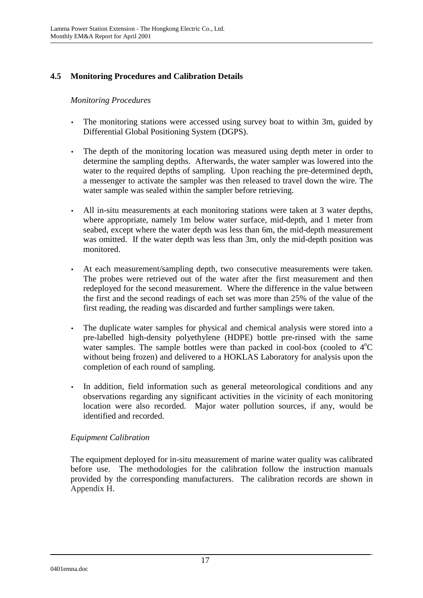## **4.5 Monitoring Procedures and Calibration Details**

#### *Monitoring Procedures*

- The monitoring stations were accessed using survey boat to within 3m, guided by Differential Global Positioning System (DGPS).
- The depth of the monitoring location was measured using depth meter in order to determine the sampling depths. Afterwards, the water sampler was lowered into the water to the required depths of sampling. Upon reaching the pre-determined depth, a messenger to activate the sampler was then released to travel down the wire. The water sample was sealed within the sampler before retrieving.
- All in-situ measurements at each monitoring stations were taken at 3 water depths, where appropriate, namely 1m below water surface, mid-depth, and 1 meter from seabed, except where the water depth was less than 6m, the mid-depth measurement was omitted. If the water depth was less than 3m, only the mid-depth position was monitored.
- At each measurement/sampling depth, two consecutive measurements were taken. The probes were retrieved out of the water after the first measurement and then redeployed for the second measurement. Where the difference in the value between the first and the second readings of each set was more than 25% of the value of the first reading, the reading was discarded and further samplings were taken.
- The duplicate water samples for physical and chemical analysis were stored into a pre-labelled high-density polyethylene (HDPE) bottle pre-rinsed with the same water samples. The sample bottles were than packed in cool-box (cooled to  $4^{\circ}C$ without being frozen) and delivered to a HOKLAS Laboratory for analysis upon the completion of each round of sampling.
- In addition, field information such as general meteorological conditions and any observations regarding any significant activities in the vicinity of each monitoring location were also recorded. Major water pollution sources, if any, would be identified and recorded.

#### *Equipment Calibration*

The equipment deployed for in-situ measurement of marine water quality was calibrated before use. The methodologies for the calibration follow the instruction manuals provided by the corresponding manufacturers. The calibration records are shown in Appendix H.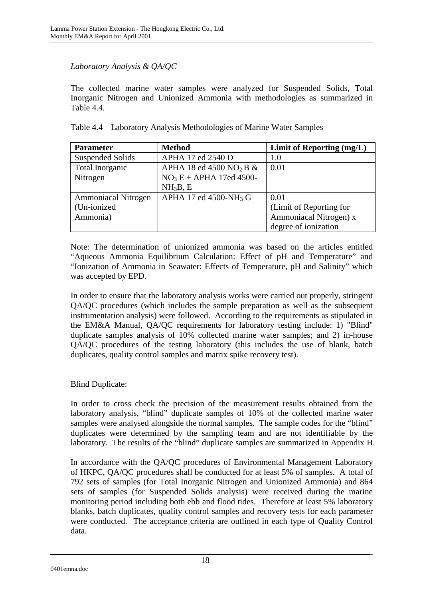### *Laboratory Analysis & QA/QC*

The collected marine water samples were analyzed for Suspended Solids, Total Inorganic Nitrogen and Unionized Ammonia with methodologies as summarized in Table 4.4.

| Table 4.4 Laboratory Analysis Methodologies of Marine Water Samples |
|---------------------------------------------------------------------|
|---------------------------------------------------------------------|

| <b>Parameter</b>           | <b>Method</b>                          | Limit of Reporting (mg/L) |
|----------------------------|----------------------------------------|---------------------------|
| Suspended Solids           | APHA 17 ed 2540 D                      | 1.0                       |
| Total Inorganic            | APHA 18 ed 4500 NO <sub>2</sub> B $\&$ | 0.01                      |
| Nitrogen                   | $NO_3 E + APHA$ 17ed 4500-             |                           |
|                            | NH <sub>3</sub> B, E                   |                           |
| <b>Ammoniacal Nitrogen</b> | APHA 17 ed 4500-NH <sub>3</sub> G      | 0.01                      |
| (Un-ionized)               |                                        | (Limit of Reporting for   |
| Ammonia)                   |                                        | Ammoniacal Nitrogen) x    |
|                            |                                        | degree of ionization      |

Note: The determination of unionized ammonia was based on the articles entitled "Aqueous Ammonia Equilibrium Calculation: Effect of pH and Temperature" and "Ionization of Ammonia in Seawater: Effects of Temperature, pH and Salinity" which was accepted by EPD.

In order to ensure that the laboratory analysis works were carried out properly, stringent QA/QC procedures (which includes the sample preparation as well as the subsequent instrumentation analysis) were followed. According to the requirements as stipulated in the EM&A Manual, QA/QC requirements for laboratory testing include: 1) "Blind" duplicate samples analysis of 10% collected marine water samples; and 2) in-house QA/QC procedures of the testing laboratory (this includes the use of blank, batch duplicates, quality control samples and matrix spike recovery test).

#### Blind Duplicate:

In order to cross check the precision of the measurement results obtained from the laboratory analysis, "blind" duplicate samples of 10% of the collected marine water samples were analysed alongside the normal samples. The sample codes for the "blind" duplicates were determined by the sampling team and are not identifiable by the laboratory. The results of the "blind" duplicate samples are summarized in Appendix H.

In accordance with the QA/QC procedures of Environmental Management Laboratory of HKPC, QA/QC procedures shall be conducted for at least 5% of samples. A total of 792 sets of samples (for Total Inorganic Nitrogen and Unionized Ammonia) and 864 sets of samples (for Suspended Solids analysis) were received during the marine monitoring period including both ebb and flood tides. Therefore at least 5% laboratory blanks, batch duplicates, quality control samples and recovery tests for each parameter were conducted. The acceptance criteria are outlined in each type of Quality Control data.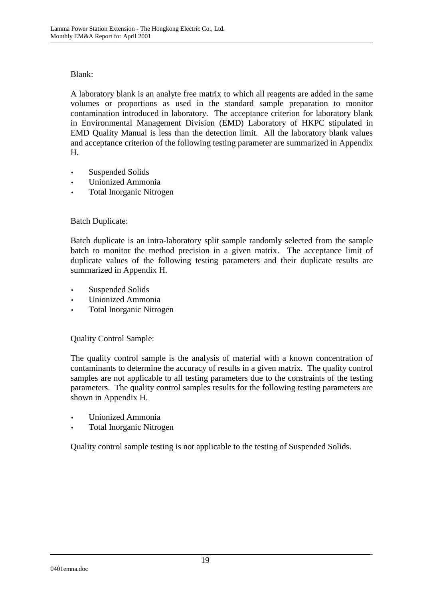### Blank:

A laboratory blank is an analyte free matrix to which all reagents are added in the same volumes or proportions as used in the standard sample preparation to monitor contamination introduced in laboratory. The acceptance criterion for laboratory blank in Environmental Management Division (EMD) Laboratory of HKPC stipulated in EMD Quality Manual is less than the detection limit. All the laboratory blank values and acceptance criterion of the following testing parameter are summarized in Appendix H.

- Suspended Solids
- Unionized Ammonia
- Total Inorganic Nitrogen

### Batch Duplicate:

Batch duplicate is an intra-laboratory split sample randomly selected from the sample batch to monitor the method precision in a given matrix. The acceptance limit of duplicate values of the following testing parameters and their duplicate results are summarized in Appendix H.

- Suspended Solids
- Unionized Ammonia
- Total Inorganic Nitrogen

#### Quality Control Sample:

The quality control sample is the analysis of material with a known concentration of contaminants to determine the accuracy of results in a given matrix. The quality control samples are not applicable to all testing parameters due to the constraints of the testing parameters. The quality control samples results for the following testing parameters are shown in Appendix H.

- Unionized Ammonia
- Total Inorganic Nitrogen

Quality control sample testing is not applicable to the testing of Suspended Solids.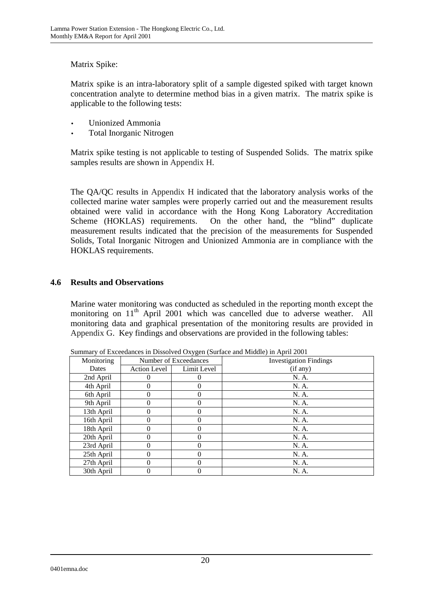### Matrix Spike:

Matrix spike is an intra-laboratory split of a sample digested spiked with target known concentration analyte to determine method bias in a given matrix. The matrix spike is applicable to the following tests:

- Unionized Ammonia
- Total Inorganic Nitrogen

Matrix spike testing is not applicable to testing of Suspended Solids. The matrix spike samples results are shown in Appendix H.

The QA/QC results in Appendix H indicated that the laboratory analysis works of the collected marine water samples were properly carried out and the measurement results obtained were valid in accordance with the Hong Kong Laboratory Accreditation Scheme (HOKLAS) requirements. On the other hand, the "blind" duplicate measurement results indicated that the precision of the measurements for Suspended Solids, Total Inorganic Nitrogen and Unionized Ammonia are in compliance with the HOKLAS requirements.

### **4.6 Results and Observations**

Marine water monitoring was conducted as scheduled in the reporting month except the monitoring on 11<sup>th</sup> April 2001 which was cancelled due to adverse weather. All monitoring data and graphical presentation of the monitoring results are provided in Appendix G. Key findings and observations are provided in the following tables:

| $\beta$ of the contract of the contract $\alpha$ is $\beta$ and $\beta$ and $\beta$ and $\beta$ and $\beta$ and $\beta$ and $\beta$ |                       |             |                               |  |
|-------------------------------------------------------------------------------------------------------------------------------------|-----------------------|-------------|-------------------------------|--|
| Monitoring                                                                                                                          | Number of Exceedances |             | <b>Investigation Findings</b> |  |
| Dates                                                                                                                               | Action Level          | Limit Level | (if any)                      |  |
| 2nd April                                                                                                                           |                       |             | N. A.                         |  |
| 4th April                                                                                                                           |                       | 0           | N. A.                         |  |
| 6th April                                                                                                                           |                       | 0           | N. A.                         |  |
| 9th April                                                                                                                           |                       | 0           | N. A.                         |  |
| 13th April                                                                                                                          |                       | 0           | N. A.                         |  |
| 16th April                                                                                                                          |                       | 0           | N. A.                         |  |
| 18th April                                                                                                                          |                       | 0           | N. A.                         |  |
| 20th April                                                                                                                          |                       | 0           | N. A.                         |  |
| 23rd April                                                                                                                          |                       | 0           | N. A.                         |  |
| 25th April                                                                                                                          |                       | 0           | N. A.                         |  |
| 27th April                                                                                                                          |                       | 0           | N. A.                         |  |
| 30th April                                                                                                                          |                       |             | N. A.                         |  |
|                                                                                                                                     |                       |             |                               |  |

Summary of Exceedances in Dissolved Oxygen (Surface and Middle) in April 2001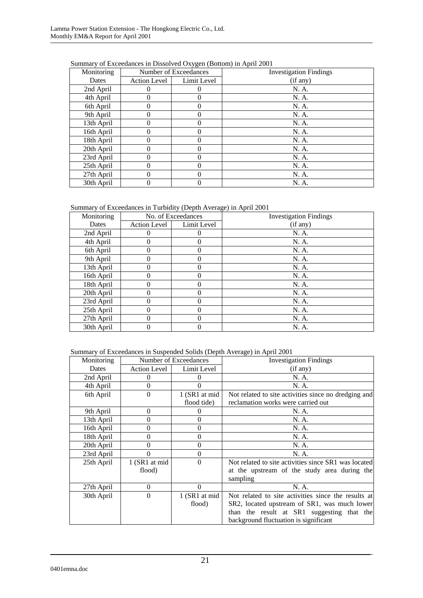| Monitoring |                     | Number of Exceedances | <b>Investigation Findings</b> |
|------------|---------------------|-----------------------|-------------------------------|
| Dates      | <b>Action Level</b> | Limit Level           | (if any)                      |
| 2nd April  |                     |                       | N. A.                         |
| 4th April  |                     | 0                     | N. A.                         |
| 6th April  | 0                   | $\Omega$              | N. A.                         |
| 9th April  | 0                   | 0                     | N. A.                         |
| 13th April |                     | 0                     | N. A.                         |
| 16th April |                     | 0                     | N. A.                         |
| 18th April | 0                   | 0                     | N. A.                         |
| 20th April |                     | 0                     | N. A.                         |
| 23rd April |                     | 0                     | N. A.                         |
| 25th April |                     | 0                     | N. A.                         |
| 27th April |                     | $\Omega$              | N. A.                         |
| 30th April | 0                   | $\Omega$              | N. A.                         |

Summary of Exceedances in Dissolved Oxygen (Bottom) in April 2001

Summary of Exceedances in Turbidity (Depth Average) in April 2001

| Monitoring | No. of Exceedances |             | <b>Investigation Findings</b> |
|------------|--------------------|-------------|-------------------------------|
| Dates      | Action Level       | Limit Level | (if any)                      |
| 2nd April  | 0                  | 0           | N. A.                         |
| 4th April  |                    | 0           | N. A.                         |
| 6th April  | 0                  | 0           | N. A.                         |
| 9th April  | 0                  | 0           | N. A.                         |
| 13th April | 0                  | 0           | N. A.                         |
| 16th April | 0                  | 0           | N. A.                         |
| 18th April |                    | 0           | N. A.                         |
| 20th April | 0                  | 0           | N. A.                         |
| 23rd April | 0                  | 0           | N. A.                         |
| 25th April | 0                  | 0           | N. A.                         |
| 27th April | 0                  | 0           | N. A.                         |
| 30th April | 0                  | 0           | N. A.                         |

Summary of Exceedances in Suspended Solids (Depth Average) in April 2001

| Monitoring |                     | Number of Exceedances | <b>Investigation Findings</b>                        |
|------------|---------------------|-----------------------|------------------------------------------------------|
| Dates      | <b>Action Level</b> | Limit Level           | (if any)                                             |
| 2nd April  | $\theta$            |                       | N. A.                                                |
| 4th April  | $\Omega$            |                       | N. A.                                                |
| 6th April  | $\theta$            | 1 (SR1 at mid         | Not related to site activities since no dredging and |
|            |                     | flood tide)           | reclamation works were carried out                   |
| 9th April  | $\Omega$            | 0                     | N. A.                                                |
| 13th April | $\Omega$            | $\theta$              | N. A.                                                |
| 16th April | 0                   | $\theta$              | N. A.                                                |
| 18th April | 0                   | $\theta$              | N. A.                                                |
| 20th April | 0                   | 0                     | N. A.                                                |
| 23rd April | 0                   | 0                     | N. A.                                                |
| 25th April | 1 (SR1 at mid       | $\theta$              | Not related to site activities since SR1 was located |
|            | flood)              |                       | at the upstream of the study area during the         |
|            |                     |                       | sampling                                             |
| 27th April | $\Omega$            | $\Omega$              | N. A.                                                |
| 30th April | $\theta$            | 1 (SR1 at mid         | Not related to site activities since the results at  |
|            |                     | flood)                | SR2, located upstream of SR1, was much lower         |
|            |                     |                       | than the result at SR1 suggesting that the           |
|            |                     |                       | background fluctuation is significant                |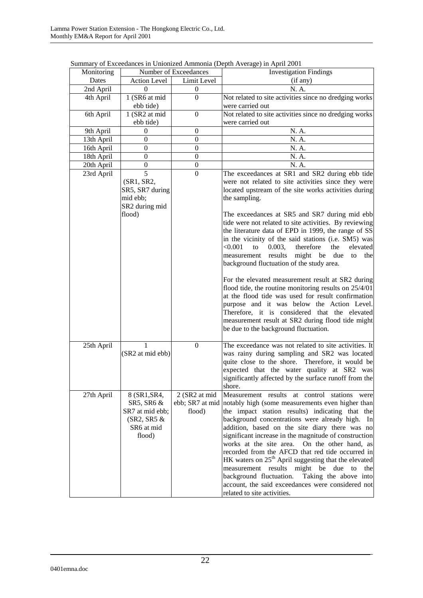| Monitoring | Number of Exceedances             |                  | <b>Investigation Findings</b>                                                                                    |  |
|------------|-----------------------------------|------------------|------------------------------------------------------------------------------------------------------------------|--|
| Dates      | Action Level                      | Limit Level      | (if any)                                                                                                         |  |
| 2nd April  | $\Omega$                          | $\boldsymbol{0}$ | N. A.                                                                                                            |  |
| 4th April  | 1 (SR6 at mid                     | $\Omega$         | Not related to site activities since no dredging works                                                           |  |
|            | ebb tide)                         |                  | were carried out                                                                                                 |  |
| 6th April  | 1 (SR2 at mid                     | $\overline{0}$   | Not related to site activities since no dredging works                                                           |  |
|            | ebb tide)                         |                  | were carried out                                                                                                 |  |
| 9th April  | 0                                 | $\boldsymbol{0}$ | N. A.                                                                                                            |  |
| 13th April | $\boldsymbol{0}$                  | $\boldsymbol{0}$ | N. A.                                                                                                            |  |
| 16th April | $\boldsymbol{0}$                  | $\boldsymbol{0}$ | N. A.                                                                                                            |  |
| 18th April | $\boldsymbol{0}$                  | $\boldsymbol{0}$ | N. A.                                                                                                            |  |
| 20th April | $\boldsymbol{0}$                  | $\boldsymbol{0}$ | N. A.                                                                                                            |  |
| 23rd April | 5                                 | $\overline{0}$   | The exceedances at SR1 and SR2 during ebb tide                                                                   |  |
|            | (SR1, SR2,                        |                  | were not related to site activities since they were                                                              |  |
|            | SR5, SR7 during                   |                  | located upstream of the site works activities during                                                             |  |
|            | mid ebb;                          |                  | the sampling.                                                                                                    |  |
|            | SR2 during mid                    |                  |                                                                                                                  |  |
|            | flood)                            |                  | The exceedances at SR5 and SR7 during mid ebb                                                                    |  |
|            |                                   |                  | tide were not related to site activities. By reviewing                                                           |  |
|            |                                   |                  | the literature data of EPD in 1999, the range of SS                                                              |  |
|            |                                   |                  | in the vicinity of the said stations (i.e. SM5) was                                                              |  |
|            |                                   |                  | < 0.001<br>therefore<br>0.003,<br>the<br>elevated<br>to                                                          |  |
|            |                                   |                  | measurement results<br>might be due<br>the<br>to                                                                 |  |
|            |                                   |                  | background fluctuation of the study area.                                                                        |  |
|            |                                   |                  |                                                                                                                  |  |
|            |                                   |                  | For the elevated measurement result at SR2 during                                                                |  |
|            |                                   |                  | flood tide, the routine monitoring results on 25/4/01                                                            |  |
|            |                                   |                  | at the flood tide was used for result confirmation                                                               |  |
|            |                                   |                  | purpose and it was below the Action Level.                                                                       |  |
|            |                                   |                  | Therefore, it is considered that the elevated                                                                    |  |
|            |                                   |                  | measurement result at SR2 during flood tide might                                                                |  |
|            |                                   |                  | be due to the background fluctuation.                                                                            |  |
|            |                                   |                  |                                                                                                                  |  |
| 25th April | 1                                 | $\mathbf{0}$     | The exceedance was not related to site activities. It                                                            |  |
|            | (SR2 at mid ebb)                  |                  | was rainy during sampling and SR2 was located                                                                    |  |
|            |                                   |                  | quite close to the shore. Therefore, it would be                                                                 |  |
|            |                                   |                  | expected that the water quality at SR2 was                                                                       |  |
|            |                                   |                  | significantly affected by the surface runoff from the                                                            |  |
|            |                                   |                  | shore.                                                                                                           |  |
| 27th April | 8 (SR1, SR4,                      | 2 (SR2 at mid    | Measurement results at control stations were<br>ebb; SR7 at mid notably high (some measurements even higher than |  |
|            | SR5, SR6 &                        |                  |                                                                                                                  |  |
|            | SR7 at mid ebb;<br>$(SR2, SR5 \&$ | flood)           | the impact station results) indicating that the<br>background concentrations were already high. In               |  |
|            |                                   |                  |                                                                                                                  |  |
|            | SR6 at mid<br>flood)              |                  | addition, based on the site diary there was no                                                                   |  |
|            |                                   |                  | significant increase in the magnitude of construction                                                            |  |
|            |                                   |                  | works at the site area. On the other hand, as<br>recorded from the AFCD that red tide occurred in                |  |
|            |                                   |                  | HK waters on $25th$ April suggesting that the elevated                                                           |  |
|            |                                   |                  | measurement results might be due to                                                                              |  |
|            |                                   |                  | the                                                                                                              |  |
|            |                                   |                  | Taking the above into<br>background fluctuation.                                                                 |  |
|            |                                   |                  | account, the said exceedances were considered not                                                                |  |
|            |                                   |                  | related to site activities.                                                                                      |  |

Summary of Exceedances in Unionized Ammonia (Depth Average) in April 2001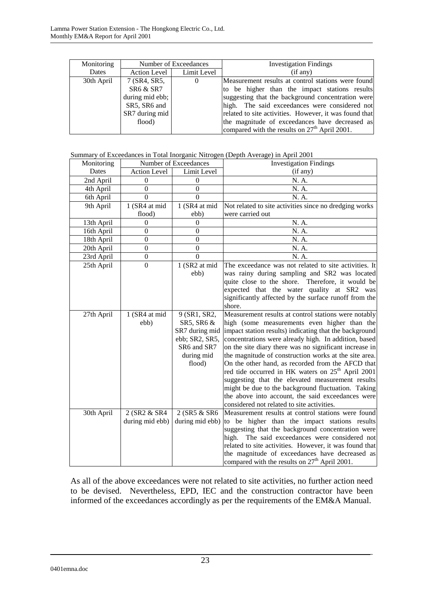| Monitoring | Number of Exceedances |             | <b>Investigation Findings</b>                          |
|------------|-----------------------|-------------|--------------------------------------------------------|
| Dates      | Action Level 1        | Limit Level | (if any)                                               |
| 30th April | 7 (SR4, SR5,          | $\theta$    | Measurement results at control stations were found     |
|            | SR6 & SR7             |             | to be higher than the impact stations results          |
|            | during mid ebb;       |             | suggesting that the background concentration were      |
|            | SR5, SR6 and          |             | high. The said exceedances were considered not         |
|            | SR7 during mid        |             | related to site activities. However, it was found that |
|            | flood)                |             | the magnitude of exceedances have decreased as         |
|            |                       |             | compared with the results on $27th$ April 2001.        |

Summary of Exceedances in Total Inorganic Nitrogen (Depth Average) in April 2001

| Monitoring |                     | Number of Exceedances | <b>Investigation Findings</b>                                 |
|------------|---------------------|-----------------------|---------------------------------------------------------------|
| Dates      | <b>Action Level</b> | Limit Level           | (if any)                                                      |
| 2nd April  | $\mathbf{0}$        | 0                     | N. A.                                                         |
| 4th April  | $\boldsymbol{0}$    | $\boldsymbol{0}$      | N. A.                                                         |
| 6th April  | 0                   | 0                     | N. A.                                                         |
| 9th April  | 1 (SR4 at mid       | 1 (SR4 at mid         | Not related to site activities since no dredging works        |
|            | flood)              | ebb)                  | were carried out                                              |
| 13th April | $\boldsymbol{0}$    | $\theta$              | N. A.                                                         |
| 16th April | $\overline{0}$      | $\overline{0}$        | N. A.                                                         |
| 18th April | $\mathbf{0}$        | $\overline{0}$        | N. A.                                                         |
| 20th April | $\mathbf{0}$        | $\overline{0}$        | N. A.                                                         |
| 23rd April | $\boldsymbol{0}$    | $\Omega$              | N. A.                                                         |
| 25th April | $\overline{0}$      | 1 (SR2 at mid         | The exceedance was not related to site activities. It         |
|            |                     | ebb)                  | was rainy during sampling and SR2 was located                 |
|            |                     |                       | quite close to the shore. Therefore, it would be              |
|            |                     |                       | expected that the water quality at SR2 was                    |
|            |                     |                       | significantly affected by the surface runoff from the         |
|            |                     |                       | shore.                                                        |
| 27th April | 1 (SR4 at mid       | 9 (SR1, SR2,          | Measurement results at control stations were notably          |
|            | ebb)                | SR5, SR6 &            | high (some measurements even higher than the                  |
|            |                     | SR7 during mid        | impact station results) indicating that the background        |
|            |                     | ebb; SR2, SR5,        | concentrations were already high. In addition, based          |
|            |                     | SR6 and SR7           | on the site diary there was no significant increase in        |
|            |                     | during mid            | the magnitude of construction works at the site area.         |
|            |                     | flood)                | On the other hand, as recorded from the AFCD that             |
|            |                     |                       | red tide occurred in HK waters on 25 <sup>th</sup> April 2001 |
|            |                     |                       | suggesting that the elevated measurement results              |
|            |                     |                       | might be due to the background fluctuation. Taking            |
|            |                     |                       | the above into account, the said exceedances were             |
|            |                     |                       | considered not related to site activities.                    |
| 30th April | 2 (SR2 & SR4        | 2 (SR5 & SR6          | Measurement results at control stations were found            |
|            | during mid ebb)     | during mid ebb)       | to be higher than the impact stations results                 |
|            |                     |                       | suggesting that the background concentration were             |
|            |                     |                       | high.<br>The said exceedances were considered not             |
|            |                     |                       | related to site activities. However, it was found that        |
|            |                     |                       | the magnitude of exceedances have decreased as                |
|            |                     |                       | compared with the results on $27th$ April 2001.               |

As all of the above exceedances were not related to site activities, no further action need to be devised. Nevertheless, EPD, IEC and the construction contractor have been informed of the exceedances accordingly as per the requirements of the EM&A Manual.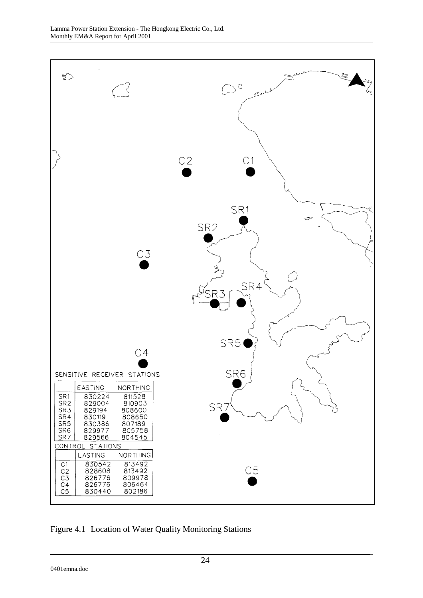

Figure 4.1 Location of Water Quality Monitoring Stations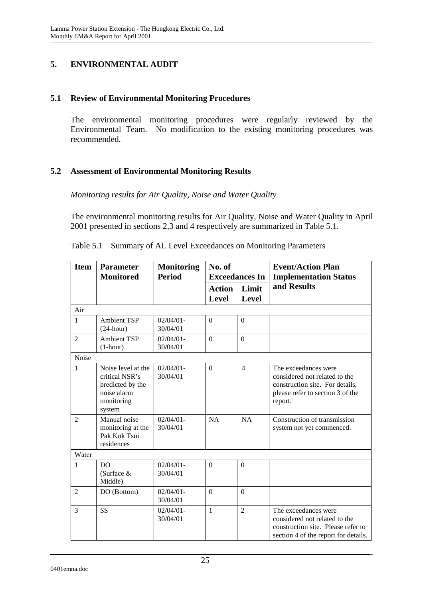## **5. ENVIRONMENTAL AUDIT**

#### **5.1 Review of Environmental Monitoring Procedures**

The environmental monitoring procedures were regularly reviewed by the Environmental Team. No modification to the existing monitoring procedures was recommended.

### **5.2 Assessment of Environmental Monitoring Results**

#### *Monitoring results for Air Quality, Noise and Water Quality*

The environmental monitoring results for Air Quality, Noise and Water Quality in April 2001 presented in sections 2,3 and 4 respectively are summarized in Table 5.1.

| <b>Item</b>    | <b>Parameter</b><br><b>Monitoring</b><br>No. of<br><b>Period</b><br><b>Monitored</b><br><b>Exceedances In</b> |                          |                               | <b>Event/Action Plan</b><br><b>Implementation Status</b> |                                                                                                                                         |
|----------------|---------------------------------------------------------------------------------------------------------------|--------------------------|-------------------------------|----------------------------------------------------------|-----------------------------------------------------------------------------------------------------------------------------------------|
|                |                                                                                                               |                          | <b>Action</b><br><b>Level</b> | Limit<br><b>Level</b>                                    | and Results                                                                                                                             |
| Air            |                                                                                                               |                          |                               |                                                          |                                                                                                                                         |
| $\mathbf{1}$   | <b>Ambient TSP</b><br>$(24$ -hour)                                                                            | $02/04/01 -$<br>30/04/01 | $\Omega$                      | $\overline{0}$                                           |                                                                                                                                         |
| $\overline{2}$ | <b>Ambient TSP</b><br>$(1-hour)$                                                                              | $02/04/01 -$<br>30/04/01 | $\overline{0}$                | $\overline{0}$                                           |                                                                                                                                         |
| Noise          |                                                                                                               |                          |                               |                                                          |                                                                                                                                         |
| $\mathbf{1}$   | Noise level at the<br>critical NSR's<br>predicted by the<br>noise alarm<br>monitoring<br>system               | $02/04/01 -$<br>30/04/01 | $\Omega$                      | $\overline{4}$                                           | The exceedances were<br>considered not related to the<br>construction site. For details,<br>please refer to section 3 of the<br>report. |
| $\mathfrak{D}$ | Manual noise<br>monitoring at the<br>Pak Kok Tsui<br>residences                                               | $02/04/01 -$<br>30/04/01 | NA                            | <b>NA</b>                                                | Construction of transmission<br>system not yet commenced.                                                                               |
| Water          |                                                                                                               |                          |                               |                                                          |                                                                                                                                         |
| 1              | DO<br>(Surface $&$<br>Middle)                                                                                 | $02/04/01 -$<br>30/04/01 | $\theta$                      | $\Omega$                                                 |                                                                                                                                         |
| $\mathfrak{D}$ | DO (Bottom)                                                                                                   | $02/04/01 -$<br>30/04/01 | $\theta$                      | $\Omega$                                                 |                                                                                                                                         |
| 3              | <b>SS</b>                                                                                                     | $02/04/01 -$<br>30/04/01 | $\mathbf{1}$                  | $\overline{2}$                                           | The exceedances were<br>considered not related to the<br>construction site. Please refer to<br>section 4 of the report for details.     |

Table 5.1 Summary of AL Level Exceedances on Monitoring Parameters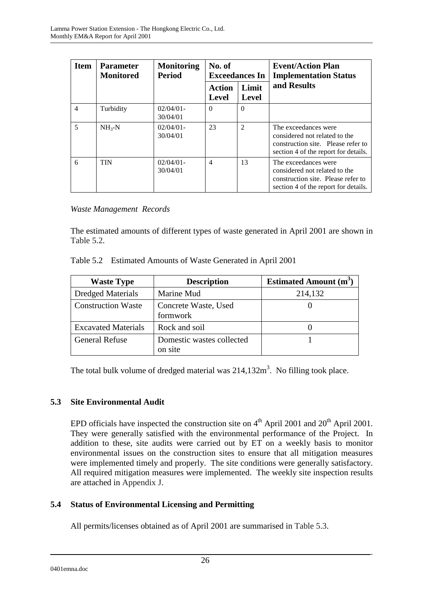| <b>Item</b>    | <b>Parameter</b><br><b>Monitored</b> | <b>Monitoring</b><br>Period | No. of<br><b>Exceedances In</b> |                       | <b>Event/Action Plan</b><br><b>Implementation Status</b>                                                                            |  |
|----------------|--------------------------------------|-----------------------------|---------------------------------|-----------------------|-------------------------------------------------------------------------------------------------------------------------------------|--|
|                |                                      |                             | <b>Action</b><br><b>Level</b>   | Limit<br><b>Level</b> | and Results                                                                                                                         |  |
| $\overline{4}$ | Turbidity                            | $02/04/01 -$<br>30/04/01    | $\Omega$                        | $\Omega$              |                                                                                                                                     |  |
| 5              | $NH_{3}-N$                           | $02/04/01 -$<br>30/04/01    | 23                              | $\mathfrak{D}$        | The exceedances were<br>considered not related to the<br>construction site. Please refer to<br>section 4 of the report for details. |  |
| 6              | <b>TIN</b>                           | $02/04/01 -$<br>30/04/01    | $\overline{4}$                  | 13                    | The exceedances were<br>considered not related to the<br>construction site. Please refer to<br>section 4 of the report for details. |  |

#### *Waste Management Records*

The estimated amounts of different types of waste generated in April 2001 are shown in Table 5.2.

| <b>Waste Type</b>          | <b>Description</b>                   | <b>Estimated Amount</b> $(m^3)$ |
|----------------------------|--------------------------------------|---------------------------------|
| <b>Dredged Materials</b>   | Marine Mud                           | 214,132                         |
| <b>Construction Waste</b>  | Concrete Waste, Used<br>formwork     |                                 |
| <b>Excavated Materials</b> | Rock and soil                        |                                 |
| <b>General Refuse</b>      | Domestic wastes collected<br>on site |                                 |

Table 5.2 Estimated Amounts of Waste Generated in April 2001

The total bulk volume of dredged material was  $214,132m^3$ . No filling took place.

## **5.3 Site Environmental Audit**

EPD officials have inspected the construction site on  $4<sup>th</sup>$  April 2001 and 20<sup>th</sup> April 2001. They were generally satisfied with the environmental performance of the Project. In addition to these, site audits were carried out by ET on a weekly basis to monitor environmental issues on the construction sites to ensure that all mitigation measures were implemented timely and properly. The site conditions were generally satisfactory. All required mitigation measures were implemented. The weekly site inspection results are attached in Appendix J.

## **5.4 Status of Environmental Licensing and Permitting**

All permits/licenses obtained as of April 2001 are summarised in Table 5.3.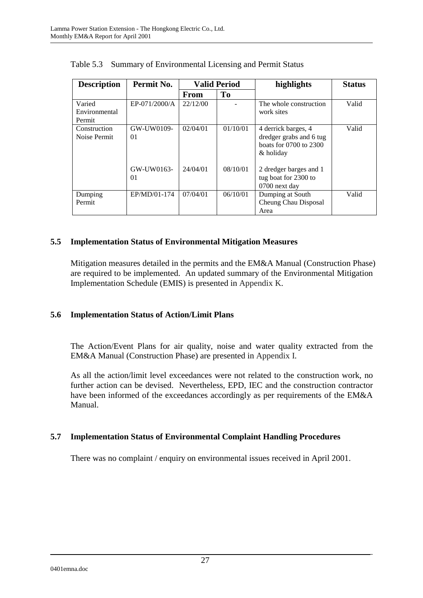| <b>Description</b>                | Permit No.       | <b>Valid Period</b> |                | highlights                                                                            | <b>Status</b> |
|-----------------------------------|------------------|---------------------|----------------|---------------------------------------------------------------------------------------|---------------|
|                                   |                  | <b>From</b>         | T <sub>0</sub> |                                                                                       |               |
| Varied<br>Environmental<br>Permit | EP-071/2000/A    | 22/12/00            |                | The whole construction<br>work sites                                                  | Valid         |
| Construction<br>Noise Permit      | GW-UW0109-<br>01 | 02/04/01            | 01/10/01       | 4 derrick barges, 4<br>dredger grabs and 6 tug<br>boats for 0700 to 2300<br>& holiday | Valid         |
|                                   | GW-UW0163-<br>01 | 24/04/01            | 08/10/01       | 2 dredger barges and 1<br>tug boat for 2300 to<br>0700 next day                       |               |
| Dumping<br>Permit                 | EP/MD/01-174     | 07/04/01            | 06/10/01       | Dumping at South<br>Cheung Chau Disposal<br>Area                                      | Valid         |

Table 5.3 Summary of Environmental Licensing and Permit Status

### **5.5 Implementation Status of Environmental Mitigation Measures**

Mitigation measures detailed in the permits and the EM&A Manual (Construction Phase) are required to be implemented. An updated summary of the Environmental Mitigation Implementation Schedule (EMIS) is presented in Appendix K.

## **5.6 Implementation Status of Action/Limit Plans**

The Action/Event Plans for air quality, noise and water quality extracted from the EM&A Manual (Construction Phase) are presented in Appendix I.

As all the action/limit level exceedances were not related to the construction work, no further action can be devised. Nevertheless, EPD, IEC and the construction contractor have been informed of the exceedances accordingly as per requirements of the EM&A Manual.

#### **5.7 Implementation Status of Environmental Complaint Handling Procedures**

There was no complaint / enquiry on environmental issues received in April 2001.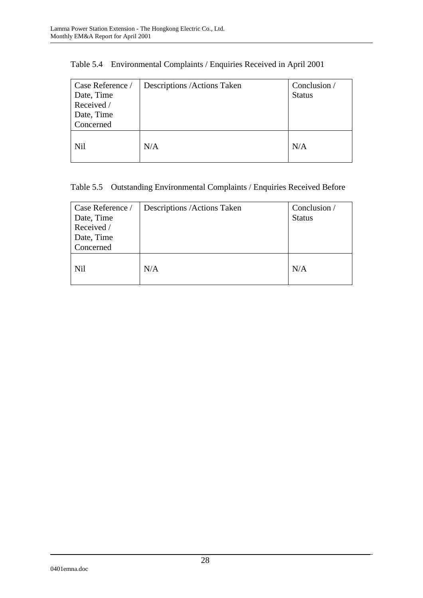| Case Reference /<br>Date, Time<br>Received /<br>Date, Time | Descriptions / Actions Taken | Conclusion /<br><b>Status</b> |
|------------------------------------------------------------|------------------------------|-------------------------------|
| Concerned                                                  |                              |                               |
| Nil                                                        | N/A                          | N/A                           |

## Table 5.4 Environmental Complaints / Enquiries Received in April 2001

## Table 5.5 Outstanding Environmental Complaints / Enquiries Received Before

| Case Reference /<br>Date, Time<br>Received /<br>Date, Time<br>Concerned | Descriptions / Actions Taken | Conclusion /<br><b>Status</b> |
|-------------------------------------------------------------------------|------------------------------|-------------------------------|
| <b>Nil</b>                                                              | N/A                          | N/A                           |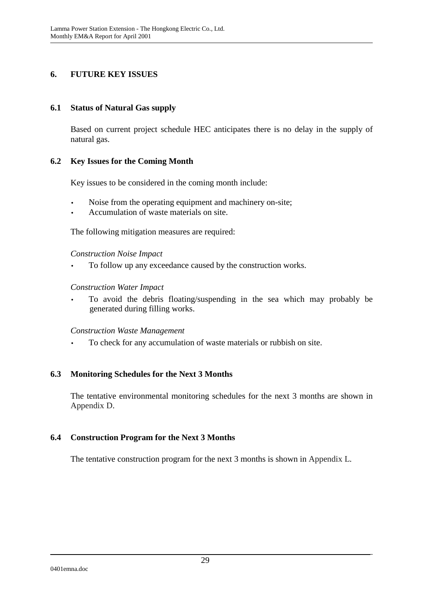## **6. FUTURE KEY ISSUES**

#### **6.1 Status of Natural Gas supply**

Based on current project schedule HEC anticipates there is no delay in the supply of natural gas.

#### **6.2 Key Issues for the Coming Month**

Key issues to be considered in the coming month include:

- Noise from the operating equipment and machinery on-site;
- Accumulation of waste materials on site.

The following mitigation measures are required:

*Construction Noise Impact* 

• To follow up any exceedance caused by the construction works.

#### *Construction Water Impact*

• To avoid the debris floating/suspending in the sea which may probably be generated during filling works.

*Construction Waste Management* 

• To check for any accumulation of waste materials or rubbish on site.

#### **6.3 Monitoring Schedules for the Next 3 Months**

The tentative environmental monitoring schedules for the next 3 months are shown in Appendix D.

#### **6.4 Construction Program for the Next 3 Months**

The tentative construction program for the next 3 months is shown in Appendix L.